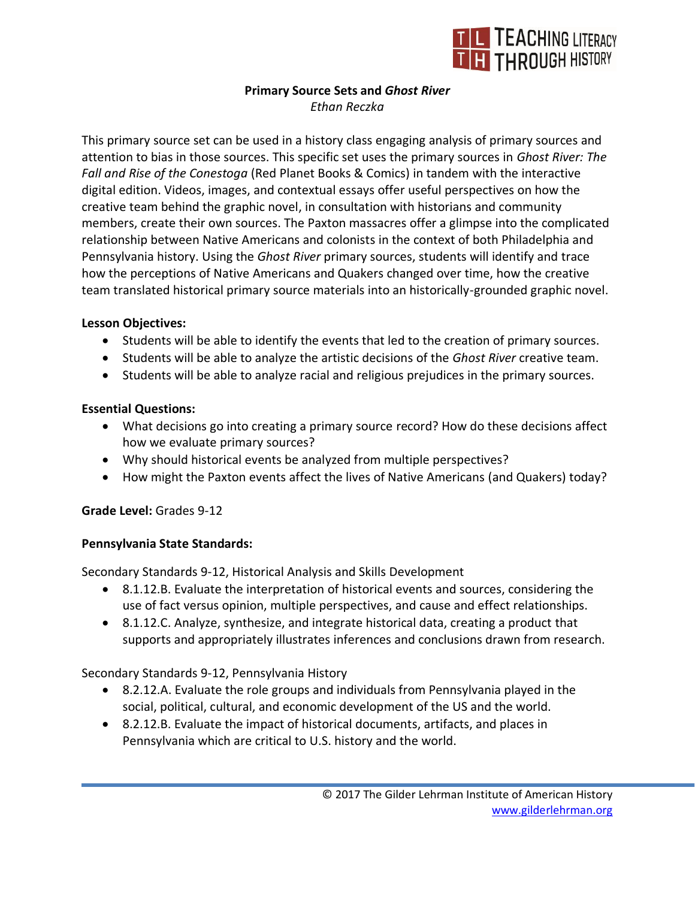

#### **Primary Source Sets and** *Ghost River Ethan Reczka*

This primary source set can be used in a history class engaging analysis of primary sources and attention to bias in those sources. This specific set uses the primary sources in *[Ghost River: The](https://read.ghostriver.org/)  [Fall and Rise of the Conestoga](https://read.ghostriver.org/)* (Red Planet Books & Comics) in tandem with the [interactive](https://read.ghostriver.org/)  [digital edition.](https://read.ghostriver.org/) Videos, images, and contextual essays offer useful perspectives on how the creative team behind the graphic novel, in consultation with historians and community members, create their own sources. The Paxton massacres offer a glimpse into the complicated relationship between Native Americans and colonists in the context of both Philadelphia and Pennsylvania history. Using the *Ghost River* primary sources, students will identify and trace how the perceptions of Native Americans and Quakers changed over time, how the creative team translated historical primary source materials into an historically-grounded graphic novel.

### **Lesson Objectives:**

- Students will be able to identify the events that led to the creation of primary sources.
- Students will be able to analyze the artistic decisions of the *Ghost River* creative team.
- Students will be able to analyze racial and religious prejudices in the primary sources.

### **Essential Questions:**

- What decisions go into creating a primary source record? How do these decisions affect how we evaluate primary sources?
- Why should historical events be analyzed from multiple perspectives?
- How might the Paxton events affect the lives of Native Americans (and Quakers) today?

# **Grade Level:** Grades 9-12

# **Pennsylvania State Standards:**

Secondary Standards 9-12, Historical Analysis and Skills Development

- 8.1.12.B. Evaluate the interpretation of historical events and sources, considering the use of fact versus opinion, multiple perspectives, and cause and effect relationships.
- 8.1.12.C. Analyze, synthesize, and integrate historical data, creating a product that supports and appropriately illustrates inferences and conclusions drawn from research.

Secondary Standards 9-12, Pennsylvania History

- 8.2.12.A. Evaluate the role groups and individuals from Pennsylvania played in the social, political, cultural, and economic development of the US and the world.
- 8.2.12.B. Evaluate the impact of historical documents, artifacts, and places in Pennsylvania which are critical to U.S. history and the world.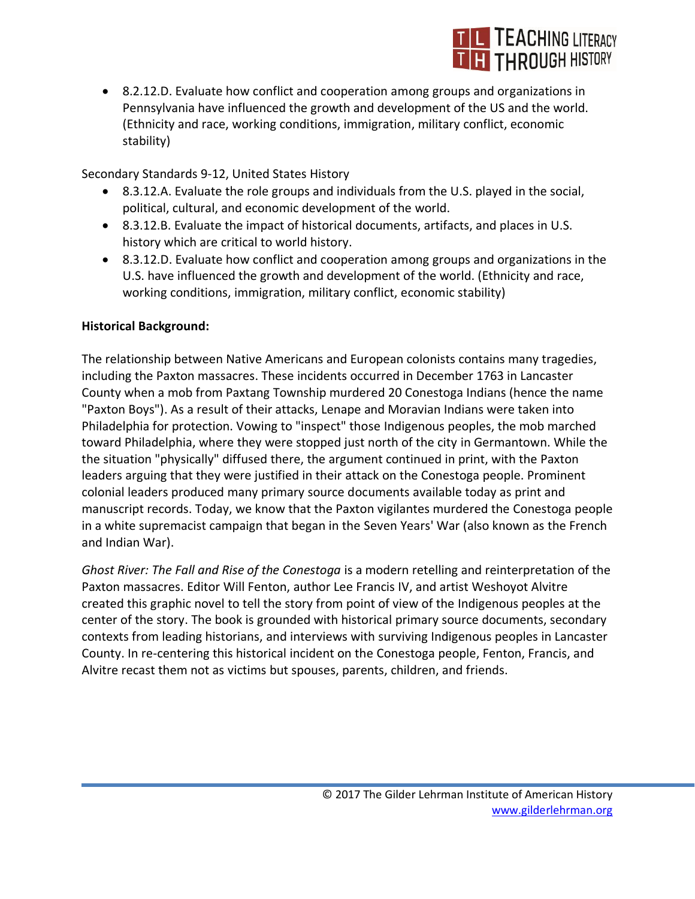

• 8.2.12.D. Evaluate how conflict and cooperation among groups and organizations in Pennsylvania have influenced the growth and development of the US and the world. (Ethnicity and race, working conditions, immigration, military conflict, economic stability)

Secondary Standards 9-12, United States History

- 8.3.12.A. Evaluate the role groups and individuals from the U.S. played in the social, political, cultural, and economic development of the world.
- 8.3.12.B. Evaluate the impact of historical documents, artifacts, and places in U.S. history which are critical to world history.
- 8.3.12.D. Evaluate how conflict and cooperation among groups and organizations in the U.S. have influenced the growth and development of the world. (Ethnicity and race, working conditions, immigration, military conflict, economic stability)

### **Historical Background:**

The relationship between Native Americans and European colonists contains many tragedies, including the Paxton massacres. These incidents occurred in December 1763 in Lancaster County when a mob from Paxtang Township murdered 20 Conestoga Indians (hence the name "Paxton Boys"). As a result of their attacks, Lenape and Moravian Indians were taken into Philadelphia for protection. Vowing to "inspect" those Indigenous peoples, the mob marched toward Philadelphia, where they were stopped just north of the city in Germantown. While the the situation "physically" diffused there, the argument continued in print, with the Paxton leaders arguing that they were justified in their attack on the Conestoga people. Prominent colonial leaders produced many primary source documents available today as print and manuscript records. Today, we know that the Paxton vigilantes murdered the Conestoga people in a white supremacist campaign that began in the Seven Years' War (also known as the French and Indian War).

*Ghost River: The Fall and Rise of the Conestoga* is a modern retelling and reinterpretation of the Paxton massacres. Editor Will Fenton, author Lee Francis IV, and artist Weshoyot Alvitre created this graphic novel to tell the story from point of view of the Indigenous peoples at the center of the story. The book is grounded with historical primary source documents, secondary contexts from leading historians, and interviews with surviving Indigenous peoples in Lancaster County. In re-centering this historical incident on the Conestoga people, Fenton, Francis, and Alvitre recast them not as victims but spouses, parents, children, and friends.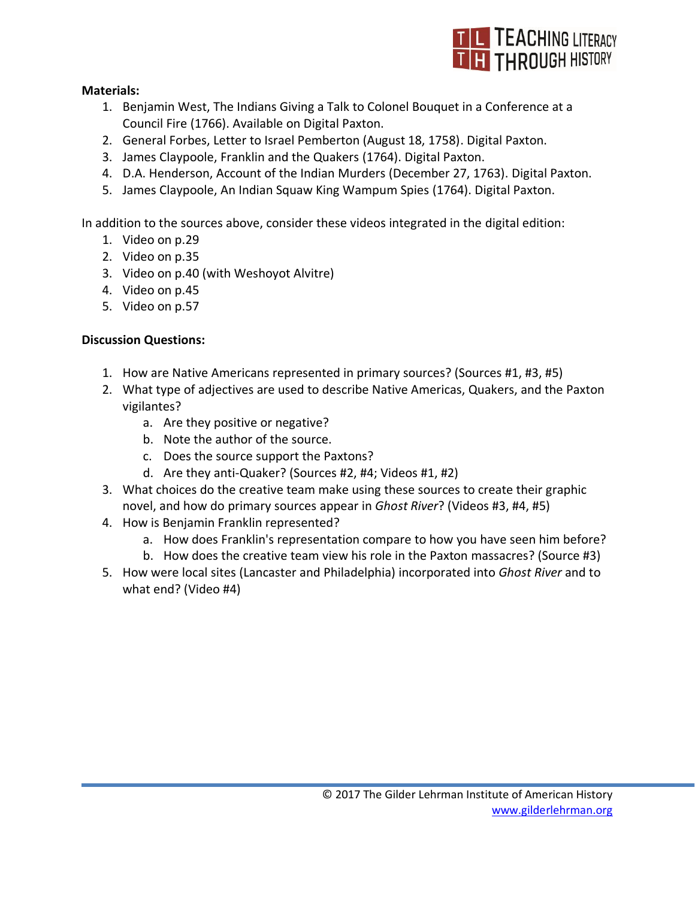

### **Materials:**

- 1. Benjamin West, [The Indians Giving a Talk to Colonel Bouquet in a Conference at a](http://digitalpaxton.org/works/digital-paxton/the-indians-giving-a-talk-to-colonel-bouquet-in-a-conference-at-a-council-fire?path=art)  [Council Fire](http://digitalpaxton.org/works/digital-paxton/the-indians-giving-a-talk-to-colonel-bouquet-in-a-conference-at-a-council-fire?path=art) (1766). Available on Digital Paxton.
- 2. General Forbes, [Letter to Israel Pemberton \(August 18, 1758\).](http://digitalpaxton.org/works/digital-paxton/general-forbes-to-israel-pemberton-august-8-1758) Digital Paxton.
- 3. James Claypoole, [Franklin and the Quakers](http://digitalpaxton.org/works/digital-paxton/franklin-and-the-quakers) (1764). Digital Paxton.
- 4. D.A. Henderson, [Account of the Indian Murders \(December 27, 1763\).](http://digitalpaxton.org/works/digital-paxton/account-of-the-indian-murders-december-27-1763---1) Digital Paxton.
- 5. James Claypoole, [An Indian Squaw King Wampum Spies](http://digitalpaxton.org/works/digital-paxton/an-indian-squaw-king-wampum-spies) (1764). Digital Paxton.

In addition to the sources above, consider these videos integrated in the [digital edition:](about:blank)

- 1. [Video on p.29](https://read.ghostriver.org/pages-29-30/)
- 2. [Video on p.35](https://read.ghostriver.org/pages-35-36/)
- 3. [Video on p.40 \(with Weshoyot Alvitre\)](https://read.ghostriver.org/pages-39-40/)
- 4. Video [on p.45](https://read.ghostriver.org/pages-45-46/)
- 5. [Video on p.57](https://read.ghostriver.org/pages-57-58/)

# **Discussion Questions:**

- 1. How are Native Americans represented in primary sources? (Sources #1, #3, #5)
- 2. What type of adjectives are used to describe Native Americas, Quakers, and the Paxton vigilantes?
	- a. Are they positive or negative?
	- b. Note the author of the source.
	- c. Does the source support the Paxtons?
	- d. Are they anti-Quaker? (Sources #2, #4; Videos #1, #2)
- 3. What choices do the creative team make using these sources to create their graphic novel, and how do primary sources appear in *Ghost River*? (Videos #3, #4, #5)
- 4. How is Benjamin Franklin represented?
	- a. How does Franklin's representation compare to how you have seen him before?
	- b. How does the creative team view his role in the Paxton massacres? (Source #3)
- 5. How were local sites (Lancaster and Philadelphia) incorporated into *Ghost River* and to what end? (Video #4)